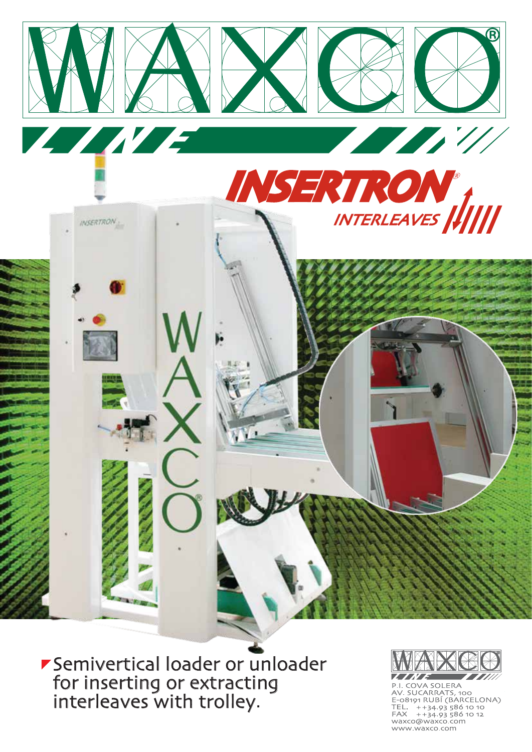

Semivertical loader or unloader for inserting or extracting interleaves with trolley.



P.I. COVA SOLERA<br>AV. SUCARRATS, 100<br>E-08191 RUBÍ (BARCELONA) TEL.  $+34.93\,586\,10\,10$ <br>FAX  $+34.93\,586\,10\,12$ waxco@waxco.com www.waxco.com